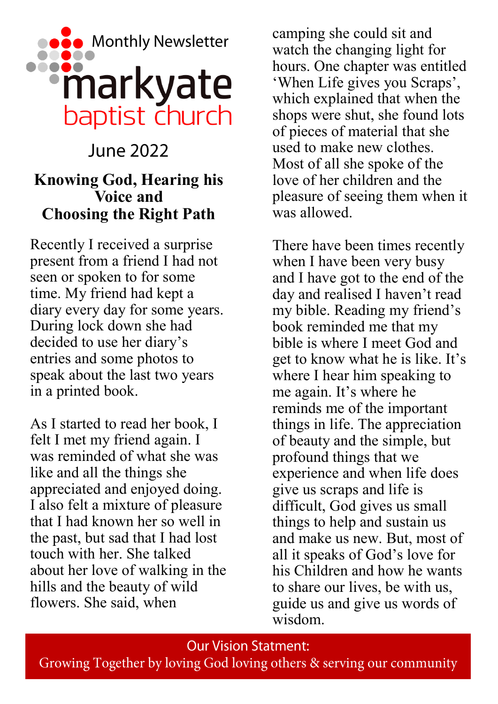

# June 2022 **Knowing God, Hearing his Voice and Choosing the Right Path**

Recently I received a surprise present from a friend I had not seen or spoken to for some time. My friend had kept a diary every day for some years. During lock down she had decided to use her diary's entries and some photos to speak about the last two years in a printed book.

As I started to read her book, I felt I met my friend again. I was reminded of what she was like and all the things she appreciated and enjoyed doing. I also felt a mixture of pleasure that I had known her so well in the past, but sad that I had lost touch with her. She talked about her love of walking in the hills and the beauty of wild flowers. She said, when

camping she could sit and watch the changing light for hours. One chapter was entitled 'When Life gives you Scraps', which explained that when the shops were shut, she found lots of pieces of material that she used to make new clothes. Most of all she spoke of the love of her children and the pleasure of seeing them when it was allowed.

There have been times recently when I have been very busy and I have got to the end of the day and realised I haven't read my bible. Reading my friend's book reminded me that my bible is where I meet God and get to know what he is like. It's where I hear him speaking to me again. It's where he reminds me of the important things in life. The appreciation of beauty and the simple, but profound things that we experience and when life does give us scraps and life is difficult, God gives us small things to help and sustain us and make us new. But, most of all it speaks of God's love for his Children and how he wants to share our lives, be with us, guide us and give us words of wisdom.

**Our Vision Statment:** 

Growing Together by loving God loving others & serving our community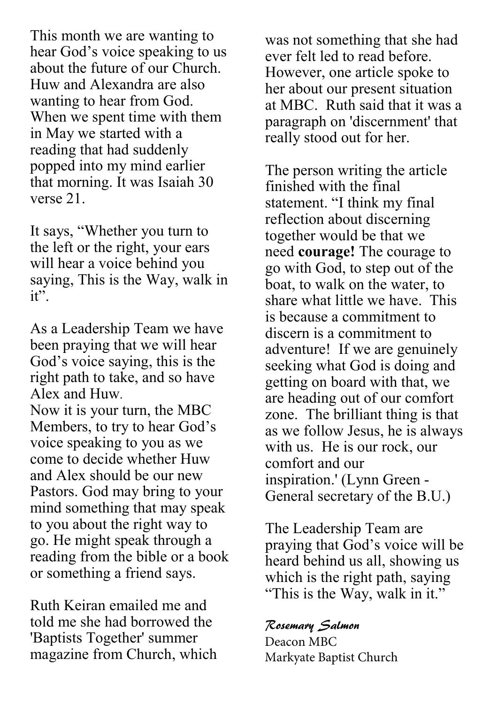This month we are wanting to hear God's voice speaking to us about the future of our Church. Huw and Alexandra are also wanting to hear from God. When we spent time with them in May we started with a reading that had suddenly popped into my mind earlier that morning. It was Isaiah 30 verse 21.

It says, "Whether you turn to the left or the right, your ears will hear a voice behind you saying, This is the Way, walk in it".

As a Leadership Team we have been praying that we will hear God's voice saying, this is the right path to take, and so have Alex and Huw.

Now it is your turn, the MBC Members, to try to hear God's voice speaking to you as we come to decide whether Huw and Alex should be our new Pastors. God may bring to your mind something that may speak to you about the right way to go. He might speak through a reading from the bible or a book or something a friend says.

Ruth Keiran emailed me and told me she had borrowed the 'Baptists Together' summer magazine from Church, which

was not something that she had ever felt led to read before. However, one article spoke to her about our present situation at MBC. Ruth said that it was a paragraph on 'discernment' that really stood out for her.

The person writing the article finished with the final statement. "I think my final reflection about discerning together would be that we need **courage!** The courage to go with God, to step out of the boat, to walk on the water, to share what little we have. This is because a commitment to discern is a commitment to adventure! If we are genuinely seeking what God is doing and getting on board with that, we are heading out of our comfort zone. The brilliant thing is that as we follow Jesus, he is always with us. He is our rock, our comfort and our inspiration.' (Lynn Green - General secretary of the B.U.)

The Leadership Team are praying that God's voice will be heard behind us all, showing us which is the right path, saying "This is the Way, walk in it."

#### Rosemary Salmon

Deacon MBC Markyate Baptist Church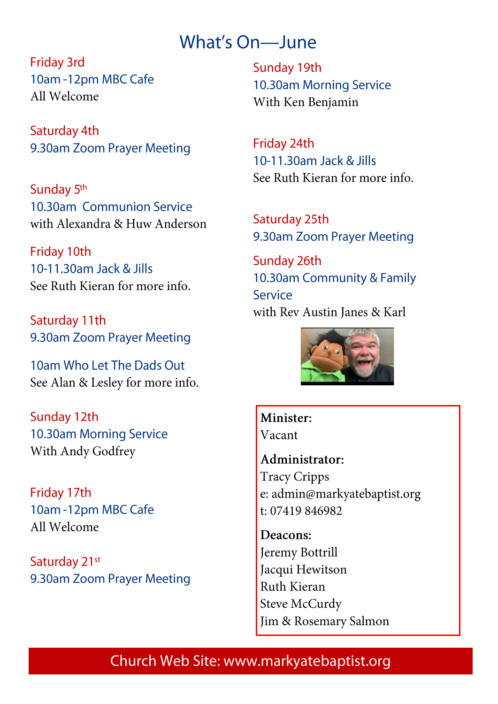## What's On-June

**Friday 3rd** 10am -12pm MBC Cafe All Welcome

Saturday 4th 9.30am Zoom Prayer Meeting

Sunday 5<sup>th</sup> 10.30am Communion Service with Alexandra & Huw Anderson

Friday 10th 10-11.30am Jack & Jills See Ruth Kieran for more info

Saturday 11th 9.30am Zoom Prayer Meeting

10am Who Let The Dads Out See Alan & Lesley for more info.

Sunday 12th 10.30am Morning Service With Andy Godfrey

Friday 17th 10am -12pm MBC Cafe All Welcome

Saturday 21st 9.30am Zoom Prayer Meeting Sunday 19th 10.30am Morning Service With Ken Benjamin

Friday 24th 10-11.30am Jack & Jills See Ruth Kieran for more info.

Saturday 25th 9.30am Zoom Prayer Meeting

Sunday 26th 10.30am Community & Family Service with Rev Austin Janes & Karl



Minister: Vacant

Administrator: **Tracy Cripps** e: admin@markyatebaptist.org t: 07419 846982

Deacons: Jeremy Bottrill Jacqui Hewitson Ruth Kieran Steve McCurdy Jim & Rosemary Salmon

### Church Web Site: www.markyatebaptist.org